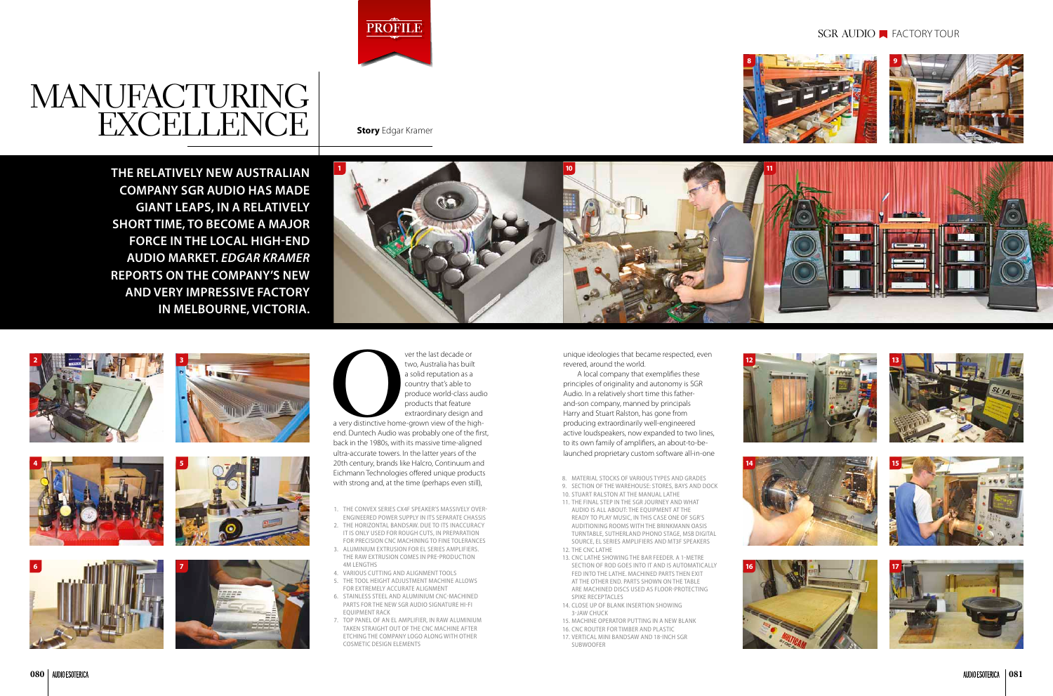ver the last decade or<br>two, Australia has built<br>a solid reputation as a<br>country that's able to<br>produce world-class a<br>products that feature<br>extraordinary design a<br>a very distinctive home-grown view of the hi<br>end. Duntech Au two, Australia has built a solid reputation as a country that's able to produce world-class audio products that feature extraordinary design and a very distinctive home-grown view of the highend. Duntech Audio was probably one of the first, back in the 1980s, with its massive time-aligned ultra-accurate towers. In the latter years of the 20th century, brands like Halcro, Continuum and Eichmann Technologies offered unique products with strong and, at the time (perhaps even still),

**The relatively new Australian company SGR Audio has made giant leaps, in a relatively short time, to become a major force in the local high-end audio market.** *Edgar Kramer*  **reports on the company's new and very impressive factory in Melbourne, Victoria.**

> unique ideologies that became respected, even revered, around the world.

- . THE CONVEX SERIES CX4F SPEAKER'S MASSIVELY OVERengineered power supply in its separate chassis
- 2. The horizontal bandsaw. due to its inaccuracy IT is only used for rough cuts, in preparation for precision CNC machining to fine tolerances
- 3. Aluminium extrusion for EL series amplifiers. The raw extrusion comes in pre-production 4m lengths
- 4. Various cutting and alignment tools
- 5. THE Tool height adjustment machine allows for extremely accurate alignment
- 6. Stainless steel and aluminium CNC-machined parts for the new SGR Audio Signature Hi-Fi equipment rack
- 7. Top panel of an EL amplifier, in raw aluminium taken straight out of the CNC machine after etching the company logo along with other cosmetic design elements

A local company that exemplifies these principles of originality and autonomy is SGR Audio. In a relatively short time this fatherand-son company, manned by principals Harry and Stuart Ralston, has gone from producing extraordinarily well-engineered active loudspeakers, now expanded to two lines, to its own family of amplifiers, an about-to-belaunched proprietary custom software all-in-one

- 9. SECTION OF THE WAREHOUSE: STORES, BAYS AND DOCK
- 10. Stuart Ralston at the manual lathe 11. The final step in the SGR journey and what
- audio is all about: the equipment at the ready to play music, In this case one of SGR's auditioning rooms with the Brinkmann Oasis turntable, Sutherland phono stage, MSB digital source, EL Series amplifiers and MT3F speakers 12. The CNC lathe
- 
- 13. CNC lathe showing the bar feeder. A 1-metre section of rod goes into it and is automatically fed into the lathe. Machined parts then exit at the other end. Parts shown on the table are machined discs used as floor-protecting spike receptacles
- 14. Close up of blank insertion showing 3-jaw chuck
- 15. Machine operator putting in a new blank
- 16. CNC router for timber and plastic
- 17. Vertical mini bandsaw and 18-inch SGR subwoofer

## SGR AUDIO **FACTORY TOUR**



8. Material stocks of various types and grades































## MANUFACTURIN  $\text{EXCELLENCE}$  Story Edgar Kramer